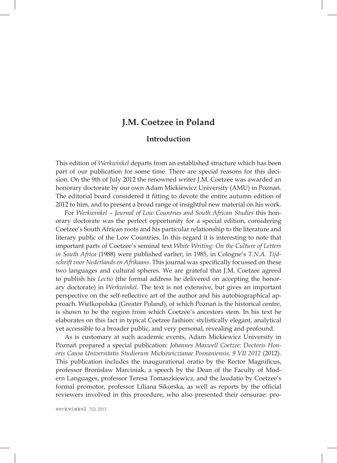## **J.M. Coetzee in Poland**

## **Introduction**

This edition of *Werkwinkel* departs from an established structure which has been part of our publication for some time. There are special reasons for this decision. On the 9th of July 2012 the renowned writer J.M. Coetzee was awarded an honorary doctorate by our own Adam Mickiewicz University (AMU) in Poznań. The editorial board considered it fitting to devote the entire autumn edition of 2012 to him, and to present a broad range of insightful new material on his work.

For *Werkwinkel* – *Journal of Low Countries and South African Studies* this honorary doctorate was the perfect opportunity for a special edition, considering Coetzee's South African roots and his particular relationship to the literature and literary public of the Low Countries. In this regard it is interesting to note that important parts of Coetzee's seminal text *White Writing: On the Culture of Letters in South Africa* (1988) were published earlier, in 1985, in Cologne's *T.N.A. Tijdschrift voor Nederlands en Afrikaans.* This journal was specifically focussed on these two languages and cultural spheres. We are grateful that J.M. Coetzee agreed to publish his *Lectio* (the formal address he delivered on accepting the honorary doctorate) in *Werkwinkel*. The text is not extensive, but gives an important perspective on the self-reflective art of the author and his autobiographical approach. Wielkopolska (Greater Poland), of which Poznań is the historical centre, is shown to be the region from which Coetzee's ancestors stem. In his text he elaborates on this fact in typical Coetzee fashion: stylistically elegant, analytical yet accessible to a broader public, and very personal, revealing and profound.

As is customary at such academic events, Adam Mickiewicz University in Poznań prepared a special publication: *Johannes Maxwell Coetzee: Doctoris Honoris Causa Universitatis Studiorum Mickiewiczianae Posnaniensis, 9 VII 2012* (2012). This publication includes the inaugurational oratio by the Rector Magnificus, professor Bronisław Marciniak, a speech by the Dean of the Faculty of Modern Languages, professor Teresa Tomaszkiewicz, and the laudatio by Coetzee's formal promotor, professor Liliana Sikorska, as well as reports by the official reviewers involved in this procedure, who also presented their censurae: pro-

werkwinkel **7(2) 2012**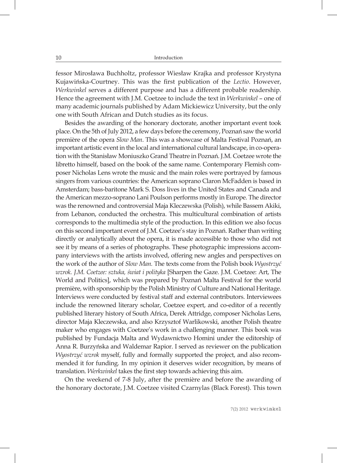fessor Mirosława Buchholtz, professor Wiesław Krajka and professor Krystyna Kujawińska-Courtney. This was the first publication of the *Lectio*. However, *Werkwinkel* serves a different purpose and has a different probable readership*.*  Hence the agreement with J.M. Coetzee to include the text in *Werkwinkel* – one of many academic journals published by Adam Mickiewicz University, but the only one with South African and Dutch studies as its focus.

Besides the awarding of the honorary doctorate, another important event took place. On the 5th of July 2012, a few days before the ceremony, Poznań saw the world première of the opera *Slow Man*. This was a showcase of Malta Festival Poznań, an important artistic event in the local and international cultural landscape, in co-operation with the Stanisław Moniuszko Grand Theatre in Poznań. J.M. Coetzee wrote the libretto himself, based on the book of the same name. Contemporary Flemish composer Nicholas Lens wrote the music and the main roles were portrayed by famous singers from various countries: the American soprano Claron McFadden is based in Amsterdam; bass-baritone Mark S. Doss lives in the United States and Canada and the American mezzo-soprano Lani Poulson performs mostly in Europe. The director was the renowned and controversial Maja Kleczewska (Polish), while Bassem Akiki, from Lebanon, conducted the orchestra. This multicultural combination of artists corresponds to the multimedia style of the production. In this edition we also focus on this second important event of J.M. Coetzee's stay in Poznań. Rather than writing directly or analytically about the opera, it is made accessible to those who did not see it by means of a series of photographs. These photographic impressions accompany interviews with the artists involved, offering new angles and perspectives on the work of the author of *Slow Man.* The texts come from the Polish book *Wyostrzyć wzrok. J.M. Coetzee: sztuka, świat i polityka* [Sharpen the Gaze. J.M. Coetzee: Art, The World and Politics], which was prepared by Poznań Malta Festival for the world première, with sponsorship by the Polish Ministry of Culture and National Heritage. Interviews were conducted by festival staff and external contributors. Interviewees include the renowned literary scholar, Coetzee expert, and co-editor of a recently published literary history of South Africa, Derek Attridge, composer Nicholas Lens, director Maja Kleczewska, and also Krzysztof Warlikowski, another Polish theatre maker who engages with Coetzee's work in a challenging manner. This book was published by Fundacja Malta and Wydawnictwo Homini under the editorship of Anna R. Burzyńska and Waldemar Rapior. I served as reviewer on the publication *Wyostrzyć wzrok* myself, fully and formally supported the project, and also recommended it for funding. In my opinion it deserves wider recognition, by means of translation. *Werkwinkel* takes the first step towards achieving this aim.

On the weekend of 7-8 July, after the première and before the awarding of the honorary doctorate, J.M. Coetzee visited Czarnylas (Black Forest). This town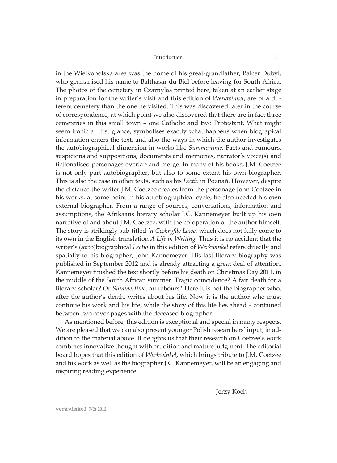Introduction 11

in the Wielkopolska area was the home of his great-grandfather, Balcer Dubyl, who germanised his name to Balthasar du Biel before leaving for South Africa. The photos of the cemetery in Czarnylas printed here, taken at an earlier stage in preparation for the writer's visit and this edition of *Werkwinkel*, are of a different cemetery than the one he visited. This was discovered later in the course of correspondence, at which point we also discovered that there are in fact three cemeteries in this small town – one Catholic and two Protestant. What might seem ironic at first glance, symbolises exactly what happens when biograpical information enters the text, and also the ways in which the author investigates the autobiographical dimension in works like *Summertime*. Facts and rumours, suspicions and suppositions, documents and memories, narrator's voice(s) and fictionalised personages overlap and merge. In many of his books, J.M. Coetzee is not only part autobiographer, but also to some extent his own biographer. This is also the case in other texts, such as his *Lectio* in Poznań. However, despite the distance the writer J.M. Coetzee creates from the personage John Coetzee in his works, at some point in his autobiographical cycle, he also needed his own external biographer. From a range of sources, conversations, information and assumptions, the Afrikaans literary scholar J.C. Kannemeyer built up his own narrative of and about J.M. Coetzee, with the co-operation of the author himself. The story is strikingly sub-titled *'n Geskryfde Lewe*, which does not fully come to its own in the English translation *A Life in Writing.* Thus it is no accident that the writer's (auto)biographical *Lectio* in this edition of *Werkwinkel* refers directly and spatially to his biographer, John Kannemeyer. His last literary biography was published in September 2012 and is already attracting a great deal of attention. Kannemeyer finished the text shortly before his death on Christmas Day 2011, in the middle of the South African summer. Tragic coincidence? A fair death for a literary scholar? Or *Summertime*, au rebours? Here it is not the biographer who, after the author's death, writes about his life. Now it is the author who must continue his work and his life, while the story of this life lies ahead – contained between two cover pages with the deceased biographer.

As mentioned before, this edition is exceptional and special in many respects. We are pleased that we can also present younger Polish researchers' input, in addition to the material above. It delights us that their research on Coetzee's work combines innovative thought with erudition and mature judgment. The editorial board hopes that this edition of *Werkwinkel*, which brings tribute to J.M. Coetzee and his work as well as the biographer J.C. Kannemeyer, will be an engaging and inspiring reading experience.

Jerzy Koch

werkwinkel **7(2) 2012**